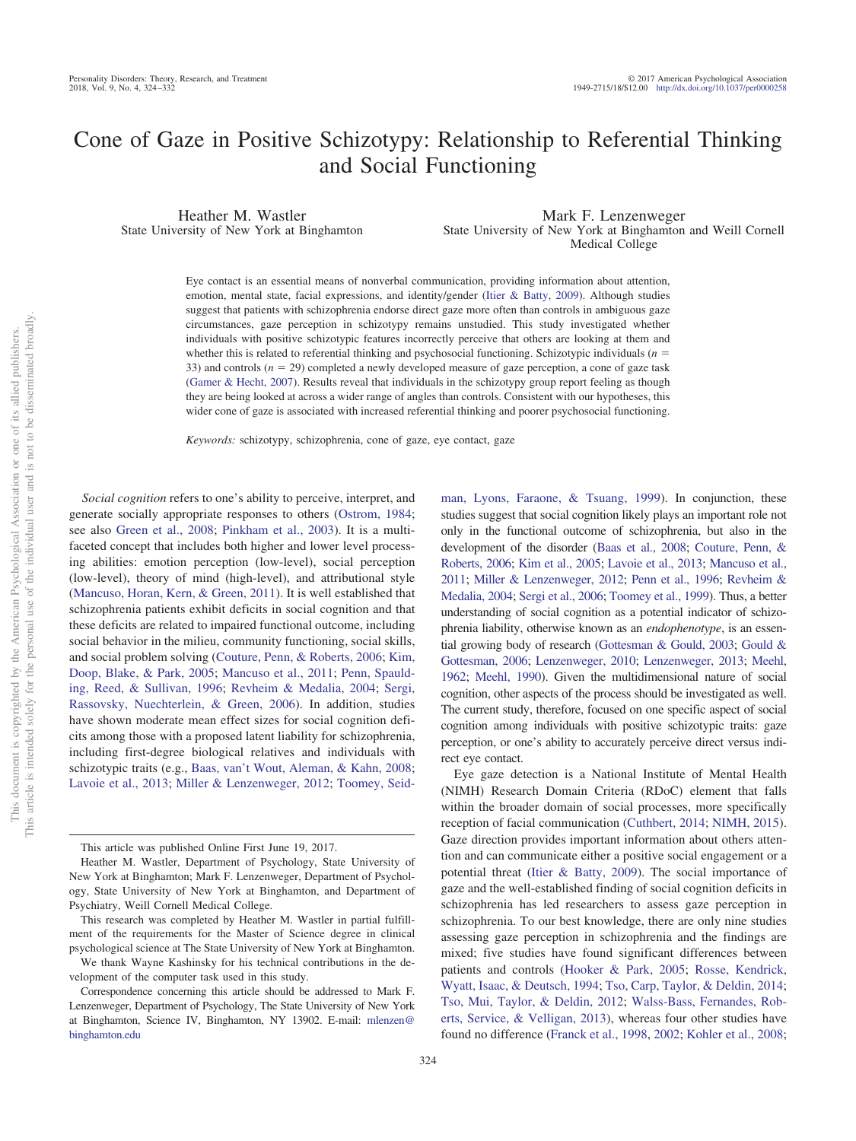# Cone of Gaze in Positive Schizotypy: Relationship to Referential Thinking and Social Functioning

Heather M. Wastler State University of New York at Binghamton

Mark F. Lenzenweger State University of New York at Binghamton and Weill Cornell Medical College

Eye contact is an essential means of nonverbal communication, providing information about attention, emotion, mental state, facial expressions, and identity/gender [\(Itier & Batty, 2009\)](#page-7-0). Although studies suggest that patients with schizophrenia endorse direct gaze more often than controls in ambiguous gaze circumstances, gaze perception in schizotypy remains unstudied. This study investigated whether individuals with positive schizotypic features incorrectly perceive that others are looking at them and whether this is related to referential thinking and psychosocial functioning. Schizotypic individuals  $(n = 1, 2, 3)$ 33) and controls  $(n = 29)$  completed a newly developed measure of gaze perception, a cone of gaze task [\(Gamer & Hecht, 2007\)](#page-7-1). Results reveal that individuals in the schizotypy group report feeling as though they are being looked at across a wider range of angles than controls. Consistent with our hypotheses, this wider cone of gaze is associated with increased referential thinking and poorer psychosocial functioning.

*Keywords:* schizotypy, schizophrenia, cone of gaze, eye contact, gaze

*Social cognition* refers to one's ability to perceive, interpret, and generate socially appropriate responses to others [\(Ostrom, 1984;](#page-8-0) see also [Green et al., 2008;](#page-7-2) [Pinkham et al., 2003\)](#page-8-1). It is a multifaceted concept that includes both higher and lower level processing abilities: emotion perception (low-level), social perception (low-level), theory of mind (high-level), and attributional style [\(Mancuso, Horan, Kern, & Green, 2011\)](#page-7-3). It is well established that schizophrenia patients exhibit deficits in social cognition and that these deficits are related to impaired functional outcome, including social behavior in the milieu, community functioning, social skills, and social problem solving [\(Couture, Penn, & Roberts, 2006;](#page-7-4) [Kim,](#page-7-5) [Doop, Blake, & Park, 2005;](#page-7-5) [Mancuso et al., 2011;](#page-7-3) [Penn, Spauld](#page-8-2)[ing, Reed, & Sullivan, 1996;](#page-8-2) [Revheim & Medalia, 2004;](#page-8-3) [Sergi,](#page-8-4) [Rassovsky, Nuechterlein, & Green, 2006\)](#page-8-4). In addition, studies have shown moderate mean effect sizes for social cognition deficits among those with a proposed latent liability for schizophrenia, including first-degree biological relatives and individuals with schizotypic traits (e.g., [Baas, van't Wout, Aleman, & Kahn, 2008;](#page-7-6) [Lavoie et al., 2013;](#page-7-7) [Miller & Lenzenweger, 2012;](#page-7-8) [Toomey, Seid-](#page-8-5)

This research was completed by Heather M. Wastler in partial fulfillment of the requirements for the Master of Science degree in clinical psychological science at The State University of New York at Binghamton.

We thank Wayne Kashinsky for his technical contributions in the development of the computer task used in this study.

[man, Lyons, Faraone, & Tsuang, 1999\)](#page-8-5). In conjunction, these studies suggest that social cognition likely plays an important role not only in the functional outcome of schizophrenia, but also in the development of the disorder [\(Baas et al., 2008;](#page-7-6) [Couture, Penn, &](#page-7-4) [Roberts, 2006;](#page-7-4) [Kim et al., 2005;](#page-7-5) [Lavoie et al., 2013;](#page-7-7) [Mancuso et al.,](#page-7-3) [2011;](#page-7-3) [Miller & Lenzenweger, 2012;](#page-7-8) [Penn et al., 1996;](#page-8-2) [Revheim &](#page-8-3) [Medalia, 2004;](#page-8-3) [Sergi et al., 2006;](#page-8-4) [Toomey et al., 1999\)](#page-8-5). Thus, a better understanding of social cognition as a potential indicator of schizophrenia liability, otherwise known as an *endophenotype*, is an essential growing body of research [\(Gottesman & Gould, 2003;](#page-7-9) [Gould &](#page-7-10) [Gottesman, 2006;](#page-7-10) [Lenzenweger, 2010;](#page-7-11) [Lenzenweger, 2013;](#page-7-12) [Meehl,](#page-7-13) [1962;](#page-7-13) [Meehl, 1990\)](#page-7-14). Given the multidimensional nature of social cognition, other aspects of the process should be investigated as well. The current study, therefore, focused on one specific aspect of social cognition among individuals with positive schizotypic traits: gaze perception, or one's ability to accurately perceive direct versus indirect eye contact.

Eye gaze detection is a National Institute of Mental Health (NIMH) Research Domain Criteria (RDoC) element that falls within the broader domain of social processes, more specifically reception of facial communication [\(Cuthbert, 2014;](#page-7-15) [NIMH, 2015\)](#page-7-16). Gaze direction provides important information about others attention and can communicate either a positive social engagement or a potential threat [\(Itier & Batty, 2009\)](#page-7-0). The social importance of gaze and the well-established finding of social cognition deficits in schizophrenia has led researchers to assess gaze perception in schizophrenia. To our best knowledge, there are only nine studies assessing gaze perception in schizophrenia and the findings are mixed; five studies have found significant differences between patients and controls [\(Hooker & Park, 2005;](#page-7-17) [Rosse, Kendrick,](#page-8-6) [Wyatt, Isaac, & Deutsch, 1994;](#page-8-6) [Tso, Carp, Taylor, & Deldin, 2014;](#page-8-7) [Tso, Mui, Taylor, & Deldin, 2012;](#page-8-8) [Walss-Bass, Fernandes, Rob](#page-8-9)[erts, Service, & Velligan, 2013\)](#page-8-9), whereas four other studies have found no difference [\(Franck et al., 1998,](#page-7-18) [2002;](#page-7-19) [Kohler et al., 2008;](#page-7-20)

This article was published Online First June 19, 2017.

Heather M. Wastler, Department of Psychology, State University of New York at Binghamton; Mark F. Lenzenweger, Department of Psychology, State University of New York at Binghamton, and Department of Psychiatry, Weill Cornell Medical College.

Correspondence concerning this article should be addressed to Mark F. Lenzenweger, Department of Psychology, The State University of New York at Binghamton, Science IV, Binghamton, NY 13902. E-mail: [mlenzen@](mailto:mlenzen@binghamton.edu) [binghamton.edu](mailto:mlenzen@binghamton.edu)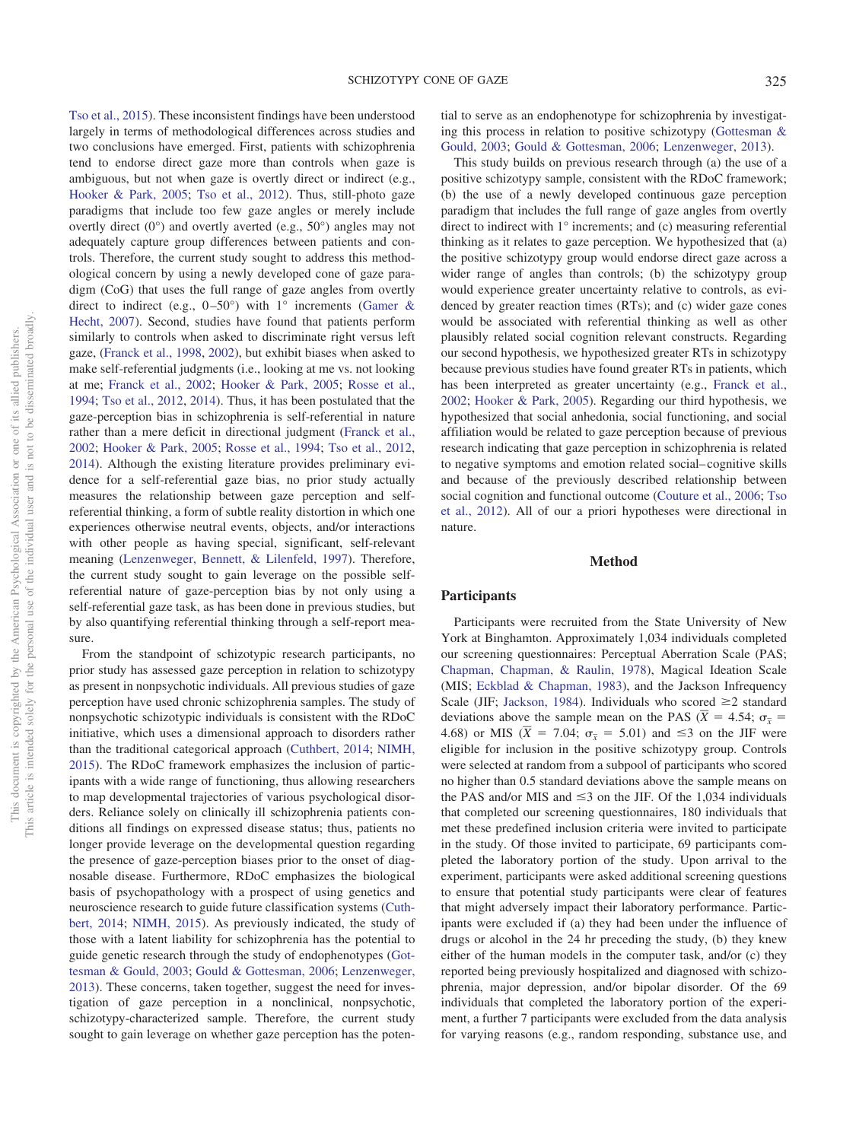[Tso et al., 2015\)](#page-8-10). These inconsistent findings have been understood largely in terms of methodological differences across studies and two conclusions have emerged. First, patients with schizophrenia tend to endorse direct gaze more than controls when gaze is ambiguous, but not when gaze is overtly direct or indirect (e.g., [Hooker & Park, 2005;](#page-7-17) [Tso et al., 2012\)](#page-8-8). Thus, still-photo gaze paradigms that include too few gaze angles or merely include overtly direct (0°) and overtly averted (e.g., 50°) angles may not adequately capture group differences between patients and controls. Therefore, the current study sought to address this methodological concern by using a newly developed cone of gaze paradigm (CoG) that uses the full range of gaze angles from overtly direct to indirect (e.g.,  $0-50^{\circ}$ ) with 1° increments [\(Gamer &](#page-7-1) [Hecht, 2007\)](#page-7-1). Second, studies have found that patients perform similarly to controls when asked to discriminate right versus left gaze, [\(Franck et al., 1998,](#page-7-18) [2002\)](#page-7-19), but exhibit biases when asked to make self-referential judgments (i.e., looking at me vs. not looking at me; [Franck et al., 2002;](#page-7-19) [Hooker & Park, 2005;](#page-7-17) [Rosse et al.,](#page-8-6) [1994;](#page-8-6) [Tso et al., 2012,](#page-8-8) [2014\)](#page-8-7). Thus, it has been postulated that the gaze-perception bias in schizophrenia is self-referential in nature rather than a mere deficit in directional judgment [\(Franck et al.,](#page-7-19) [2002;](#page-7-19) [Hooker & Park, 2005;](#page-7-17) [Rosse et al., 1994;](#page-8-6) [Tso et al., 2012,](#page-8-8) [2014\)](#page-8-7). Although the existing literature provides preliminary evidence for a self-referential gaze bias, no prior study actually measures the relationship between gaze perception and selfreferential thinking, a form of subtle reality distortion in which one experiences otherwise neutral events, objects, and/or interactions with other people as having special, significant, self-relevant meaning [\(Lenzenweger, Bennett, & Lilenfeld, 1997\)](#page-7-21). Therefore, the current study sought to gain leverage on the possible selfreferential nature of gaze-perception bias by not only using a self-referential gaze task, as has been done in previous studies, but by also quantifying referential thinking through a self-report measure.

From the standpoint of schizotypic research participants, no prior study has assessed gaze perception in relation to schizotypy as present in nonpsychotic individuals. All previous studies of gaze perception have used chronic schizophrenia samples. The study of nonpsychotic schizotypic individuals is consistent with the RDoC initiative, which uses a dimensional approach to disorders rather than the traditional categorical approach [\(Cuthbert, 2014;](#page-7-15) [NIMH,](#page-7-16) [2015\)](#page-7-16). The RDoC framework emphasizes the inclusion of participants with a wide range of functioning, thus allowing researchers to map developmental trajectories of various psychological disorders. Reliance solely on clinically ill schizophrenia patients conditions all findings on expressed disease status; thus, patients no longer provide leverage on the developmental question regarding the presence of gaze-perception biases prior to the onset of diagnosable disease. Furthermore, RDoC emphasizes the biological basis of psychopathology with a prospect of using genetics and neuroscience research to guide future classification systems [\(Cuth](#page-7-15)[bert, 2014;](#page-7-15) [NIMH, 2015\)](#page-7-16). As previously indicated, the study of those with a latent liability for schizophrenia has the potential to guide genetic research through the study of endophenotypes [\(Got](#page-7-9)[tesman & Gould, 2003;](#page-7-9) [Gould & Gottesman, 2006;](#page-7-10) [Lenzenweger,](#page-7-12) [2013\)](#page-7-12). These concerns, taken together, suggest the need for investigation of gaze perception in a nonclinical, nonpsychotic, schizotypy-characterized sample. Therefore, the current study sought to gain leverage on whether gaze perception has the potential to serve as an endophenotype for schizophrenia by investigating this process in relation to positive schizotypy [\(Gottesman &](#page-7-9) [Gould, 2003;](#page-7-9) [Gould & Gottesman, 2006;](#page-7-10) [Lenzenweger, 2013\)](#page-7-12).

This study builds on previous research through (a) the use of a positive schizotypy sample, consistent with the RDoC framework; (b) the use of a newly developed continuous gaze perception paradigm that includes the full range of gaze angles from overtly direct to indirect with 1° increments; and (c) measuring referential thinking as it relates to gaze perception. We hypothesized that (a) the positive schizotypy group would endorse direct gaze across a wider range of angles than controls; (b) the schizotypy group would experience greater uncertainty relative to controls, as evidenced by greater reaction times (RTs); and (c) wider gaze cones would be associated with referential thinking as well as other plausibly related social cognition relevant constructs. Regarding our second hypothesis, we hypothesized greater RTs in schizotypy because previous studies have found greater RTs in patients, which has been interpreted as greater uncertainty (e.g., [Franck et al.,](#page-7-19) [2002;](#page-7-19) [Hooker & Park, 2005\)](#page-7-17). Regarding our third hypothesis, we hypothesized that social anhedonia, social functioning, and social affiliation would be related to gaze perception because of previous research indicating that gaze perception in schizophrenia is related to negative symptoms and emotion related social– cognitive skills and because of the previously described relationship between social cognition and functional outcome [\(Couture et al., 2006;](#page-7-4) [Tso](#page-8-8) [et al., 2012\)](#page-8-8). All of our a priori hypotheses were directional in nature.

## **Method**

#### **Participants**

Participants were recruited from the State University of New York at Binghamton. Approximately 1,034 individuals completed our screening questionnaires: Perceptual Aberration Scale (PAS; [Chapman, Chapman, & Raulin, 1978\)](#page-7-22), Magical Ideation Scale (MIS; [Eckblad & Chapman, 1983\)](#page-7-23), and the Jackson Infrequency Scale (JIF; [Jackson, 1984\)](#page-7-24). Individuals who scored  $\geq 2$  standard scale (*j***ir**; *j*<sub>a</sub>ckson, 1964). Individuals who scored  $\geq$  2 standard deviations above the sample mean on the PAS ( $\overline{X}$  = 4.54;  $\sigma_{\overline{X}}$  = deviations above the sample mean on the PAS  $(x - 4.34, \sigma_{\overline{x}} - 4.68)$  or MIS  $(\overline{X} = 7.04; \sigma_{\overline{x}} = 5.01)$  and  $\leq 3$  on the JIF were eligible for inclusion in the positive schizotypy group. Controls were selected at random from a subpool of participants who scored no higher than 0.5 standard deviations above the sample means on the PAS and/or MIS and  $\leq$ 3 on the JIF. Of the 1,034 individuals that completed our screening questionnaires, 180 individuals that met these predefined inclusion criteria were invited to participate in the study. Of those invited to participate, 69 participants completed the laboratory portion of the study. Upon arrival to the experiment, participants were asked additional screening questions to ensure that potential study participants were clear of features that might adversely impact their laboratory performance. Participants were excluded if (a) they had been under the influence of drugs or alcohol in the 24 hr preceding the study, (b) they knew either of the human models in the computer task, and/or (c) they reported being previously hospitalized and diagnosed with schizophrenia, major depression, and/or bipolar disorder. Of the 69 individuals that completed the laboratory portion of the experiment, a further 7 participants were excluded from the data analysis for varying reasons (e.g., random responding, substance use, and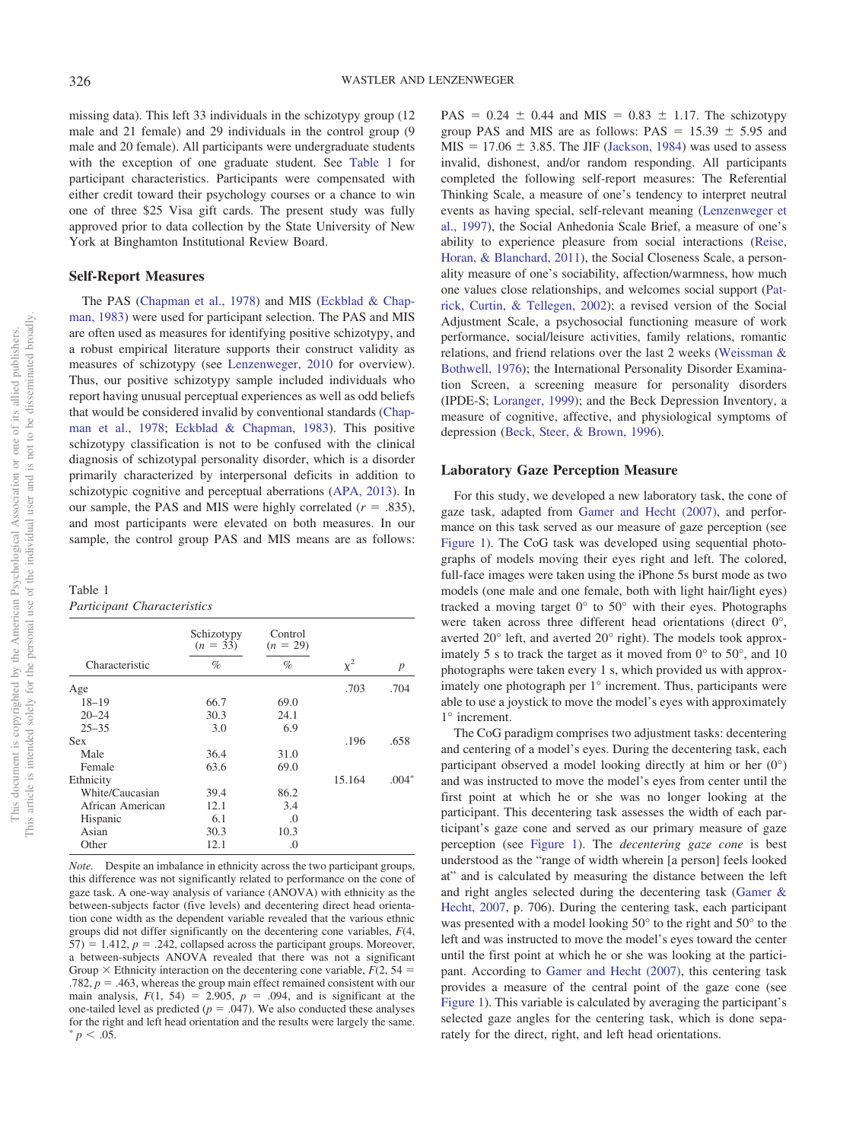missing data). This left 33 individuals in the schizotypy group (12 male and 21 female) and 29 individuals in the control group (9 male and 20 female). All participants were undergraduate students with the exception of one graduate student. See [Table 1](#page-2-0) for participant characteristics. Participants were compensated with either credit toward their psychology courses or a chance to win one of three \$25 Visa gift cards. The present study was fully approved prior to data collection by the State University of New York at Binghamton Institutional Review Board.

#### **Self-Report Measures**

The PAS [\(Chapman et al., 1978\)](#page-7-22) and MIS [\(Eckblad & Chap](#page-7-23)[man, 1983\)](#page-7-23) were used for participant selection. The PAS and MIS are often used as measures for identifying positive schizotypy, and a robust empirical literature supports their construct validity as measures of schizotypy (see [Lenzenweger, 2010](#page-7-11) for overview). Thus, our positive schizotypy sample included individuals who report having unusual perceptual experiences as well as odd beliefs that would be considered invalid by conventional standards [\(Chap](#page-7-22)[man et al., 1978;](#page-7-22) [Eckblad & Chapman, 1983\)](#page-7-23). This positive schizotypy classification is not to be confused with the clinical diagnosis of schizotypal personality disorder, which is a disorder primarily characterized by interpersonal deficits in addition to schizotypic cognitive and perceptual aberrations [\(APA, 2013\)](#page-7-25). In our sample, the PAS and MIS were highly correlated  $(r = .835)$ , and most participants were elevated on both measures. In our sample, the control group PAS and MIS means are as follows:

<span id="page-2-0"></span>Table 1

| Participant Characteristics |  |
|-----------------------------|--|
|-----------------------------|--|

|                  | Schizotypy<br>$(n = 33)$ | Control<br>$(n = 29)$ |          |                  |
|------------------|--------------------------|-----------------------|----------|------------------|
| Characteristic   | $\%$                     | $\%$                  | $\chi^2$ | $\boldsymbol{p}$ |
| Age              |                          |                       | .703     | .704             |
| $18 - 19$        | 66.7                     | 69.0                  |          |                  |
| $20 - 24$        | 30.3                     | 24.1                  |          |                  |
| $25 - 35$        | 3.0                      | 6.9                   |          |                  |
| <b>Sex</b>       |                          |                       | .196     | .658             |
| Male             | 36.4                     | 31.0                  |          |                  |
| Female           | 63.6                     | 69.0                  |          |                  |
| Ethnicity        |                          |                       | 15.164   | $.004*$          |
| White/Caucasian  | 39.4                     | 86.2                  |          |                  |
| African American | 12.1                     | 3.4                   |          |                  |
| Hispanic         | 6.1                      | .0                    |          |                  |
| Asian            | 30.3                     | 10.3                  |          |                  |
| Other            | 12.1                     | .0                    |          |                  |

*Note.* Despite an imbalance in ethnicity across the two participant groups, this difference was not significantly related to performance on the cone of gaze task. A one-way analysis of variance (ANOVA) with ethnicity as the between-subjects factor (five levels) and decentering direct head orientation cone width as the dependent variable revealed that the various ethnic groups did not differ significantly on the decentering cone variables, *F*(4,  $57$ ) = 1.412,  $p = 0.242$ , collapsed across the participant groups. Moreover, a between-subjects ANOVA revealed that there was not a significant Group  $\times$  Ethnicity interaction on the decentering cone variable,  $F(2, 54 =$  $.782, p = .463$ , whereas the group main effect remained consistent with our main analysis,  $F(1, 54) = 2.905$ ,  $p = .094$ , and is significant at the one-tailed level as predicted ( $p = .047$ ). We also conducted these analyses for the right and left head orientation and the results were largely the same.  $p < .05$ .

 $PAS = 0.24 \pm 0.44$  and MIS = 0.83  $\pm$  1.17. The schizotypy group PAS and MIS are as follows:  $PAS = 15.39 \pm 5.95$  and  $MIS = 17.06 \pm 3.85$ . The JIF [\(Jackson, 1984\)](#page-7-24) was used to assess invalid, dishonest, and/or random responding. All participants completed the following self-report measures: The Referential Thinking Scale, a measure of one's tendency to interpret neutral events as having special, self-relevant meaning [\(Lenzenweger et](#page-7-21) [al., 1997\)](#page-7-21), the Social Anhedonia Scale Brief, a measure of one's ability to experience pleasure from social interactions [\(Reise,](#page-8-11) [Horan, & Blanchard, 2011\)](#page-8-11), the Social Closeness Scale, a personality measure of one's sociability, affection/warmness, how much one values close relationships, and welcomes social support [\(Pat](#page-8-12)[rick, Curtin, & Tellegen, 2002\)](#page-8-12); a revised version of the Social Adjustment Scale, a psychosocial functioning measure of work performance, social/leisure activities, family relations, romantic relations, and friend relations over the last 2 weeks [\(Weissman &](#page-8-13) [Bothwell, 1976\)](#page-8-13); the International Personality Disorder Examination Screen, a screening measure for personality disorders (IPDE-S; [Loranger, 1999\)](#page-7-26); and the Beck Depression Inventory, a measure of cognitive, affective, and physiological symptoms of depression [\(Beck, Steer, & Brown, 1996\)](#page-7-27).

#### **Laboratory Gaze Perception Measure**

For this study, we developed a new laboratory task, the cone of gaze task, adapted from [Gamer and Hecht \(2007\),](#page-7-1) and performance on this task served as our measure of gaze perception (see [Figure 1\)](#page-3-0). The CoG task was developed using sequential photographs of models moving their eyes right and left. The colored, full-face images were taken using the iPhone 5s burst mode as two models (one male and one female, both with light hair/light eyes) tracked a moving target  $0^{\circ}$  to  $50^{\circ}$  with their eyes. Photographs were taken across three different head orientations (direct 0°, averted 20° left, and averted 20° right). The models took approximately 5 s to track the target as it moved from  $0^{\circ}$  to 50 $^{\circ}$ , and 10 photographs were taken every 1 s, which provided us with approximately one photograph per 1° increment. Thus, participants were able to use a joystick to move the model's eyes with approximately 1° increment.

The CoG paradigm comprises two adjustment tasks: decentering and centering of a model's eyes. During the decentering task, each participant observed a model looking directly at him or her (0°) and was instructed to move the model's eyes from center until the first point at which he or she was no longer looking at the participant. This decentering task assesses the width of each participant's gaze cone and served as our primary measure of gaze perception (see [Figure 1\)](#page-3-0). The *decentering gaze cone* is best understood as the "range of width wherein [a person] feels looked at" and is calculated by measuring the distance between the left and right angles selected during the decentering task [\(Gamer &](#page-7-1) [Hecht, 2007,](#page-7-1) p. 706). During the centering task, each participant was presented with a model looking 50° to the right and 50° to the left and was instructed to move the model's eyes toward the center until the first point at which he or she was looking at the participant. According to [Gamer and Hecht \(2007\),](#page-7-1) this centering task provides a measure of the central point of the gaze cone (see [Figure 1\)](#page-3-0). This variable is calculated by averaging the participant's selected gaze angles for the centering task, which is done separately for the direct, right, and left head orientations.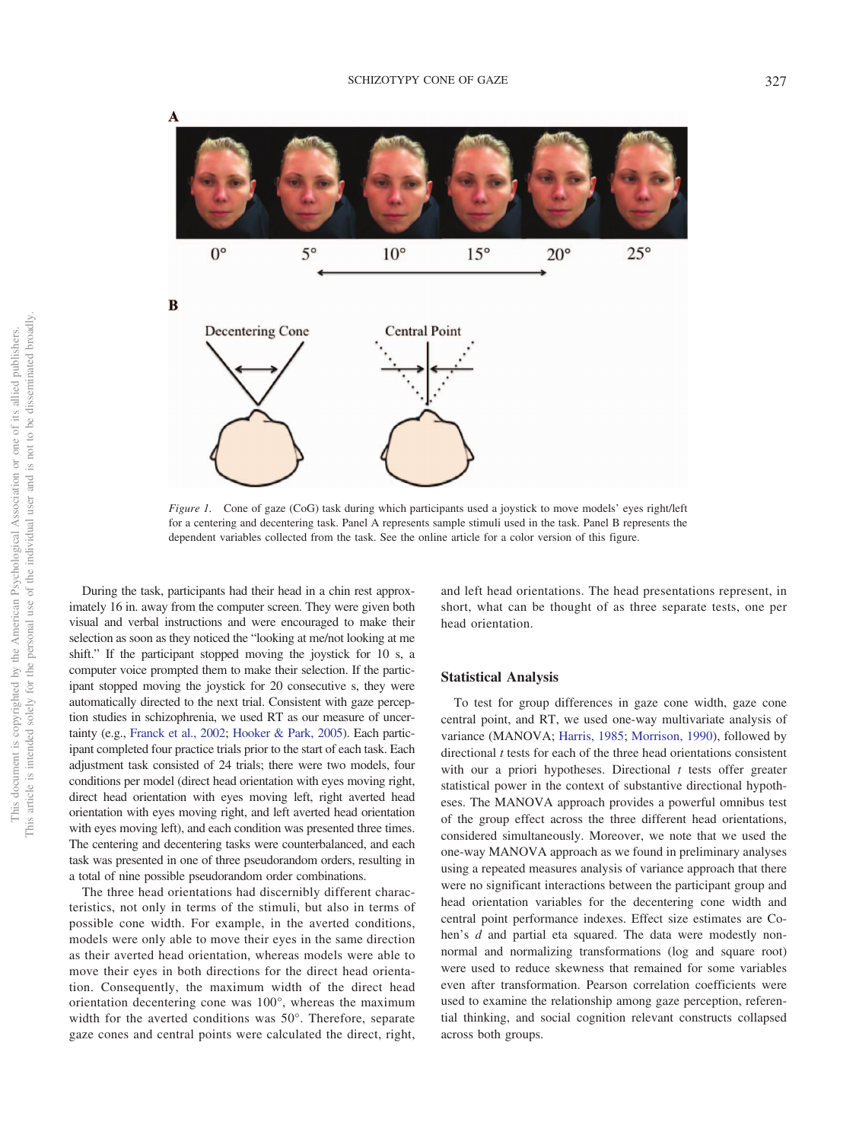

<span id="page-3-0"></span>*Figure 1.* Cone of gaze (CoG) task during which participants used a joystick to move models' eyes right/left for a centering and decentering task. Panel A represents sample stimuli used in the task. Panel B represents the dependent variables collected from the task. See the online article for a color version of this figure.

During the task, participants had their head in a chin rest approximately 16 in. away from the computer screen. They were given both visual and verbal instructions and were encouraged to make their selection as soon as they noticed the "looking at me/not looking at me shift." If the participant stopped moving the joystick for 10 s, a computer voice prompted them to make their selection. If the participant stopped moving the joystick for 20 consecutive s, they were automatically directed to the next trial. Consistent with gaze perception studies in schizophrenia, we used RT as our measure of uncertainty (e.g., [Franck et al., 2002;](#page-7-19) [Hooker & Park, 2005\)](#page-7-17). Each participant completed four practice trials prior to the start of each task. Each adjustment task consisted of 24 trials; there were two models, four conditions per model (direct head orientation with eyes moving right, direct head orientation with eyes moving left, right averted head orientation with eyes moving right, and left averted head orientation with eyes moving left), and each condition was presented three times. The centering and decentering tasks were counterbalanced, and each task was presented in one of three pseudorandom orders, resulting in a total of nine possible pseudorandom order combinations.

The three head orientations had discernibly different characteristics, not only in terms of the stimuli, but also in terms of possible cone width. For example, in the averted conditions, models were only able to move their eyes in the same direction as their averted head orientation, whereas models were able to move their eyes in both directions for the direct head orientation. Consequently, the maximum width of the direct head orientation decentering cone was 100°, whereas the maximum width for the averted conditions was 50°. Therefore, separate gaze cones and central points were calculated the direct, right, and left head orientations. The head presentations represent, in short, what can be thought of as three separate tests, one per head orientation.

## **Statistical Analysis**

To test for group differences in gaze cone width, gaze cone central point, and RT, we used one-way multivariate analysis of variance (MANOVA; [Harris, 1985;](#page-7-28) [Morrison, 1990\)](#page-7-29), followed by directional *t* tests for each of the three head orientations consistent with our a priori hypotheses. Directional *t* tests offer greater statistical power in the context of substantive directional hypotheses. The MANOVA approach provides a powerful omnibus test of the group effect across the three different head orientations, considered simultaneously. Moreover, we note that we used the one-way MANOVA approach as we found in preliminary analyses using a repeated measures analysis of variance approach that there were no significant interactions between the participant group and head orientation variables for the decentering cone width and central point performance indexes. Effect size estimates are Cohen's *d* and partial eta squared. The data were modestly nonnormal and normalizing transformations (log and square root) were used to reduce skewness that remained for some variables even after transformation. Pearson correlation coefficients were used to examine the relationship among gaze perception, referential thinking, and social cognition relevant constructs collapsed across both groups.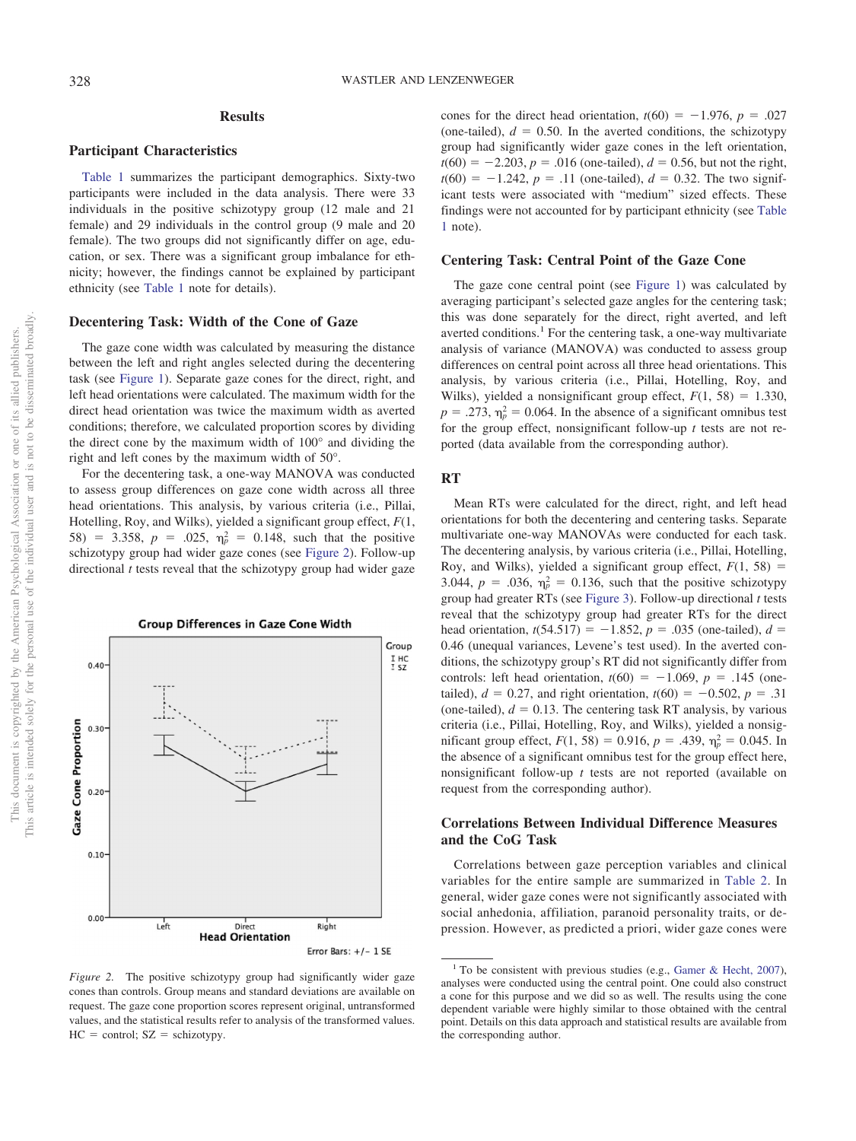This document is copyrighted by the American Psychological Association or one of its allied publishers. This article is intended solely for the personal use of the individual user and is not to be disseminated broadly.

This article is intended solely for the personal use of the individual user and is not to be disseminated broadly This document is copyrighted by the American Psychological Association or one of its allied publishers.

## **Results**

## **Participant Characteristics**

[Table 1](#page-2-0) summarizes the participant demographics. Sixty-two participants were included in the data analysis. There were 33 individuals in the positive schizotypy group (12 male and 21 female) and 29 individuals in the control group (9 male and 20 female). The two groups did not significantly differ on age, education, or sex. There was a significant group imbalance for ethnicity; however, the findings cannot be explained by participant ethnicity (see [Table 1](#page-2-0) note for details).

## **Decentering Task: Width of the Cone of Gaze**

The gaze cone width was calculated by measuring the distance between the left and right angles selected during the decentering task (see [Figure 1\)](#page-3-0). Separate gaze cones for the direct, right, and left head orientations were calculated. The maximum width for the direct head orientation was twice the maximum width as averted conditions; therefore, we calculated proportion scores by dividing the direct cone by the maximum width of 100° and dividing the right and left cones by the maximum width of 50°.

For the decentering task, a one-way MANOVA was conducted to assess group differences on gaze cone width across all three head orientations. This analysis, by various criteria (i.e., Pillai, Hotelling, Roy, and Wilks), yielded a significant group effect, *F*(1, 58) = 3.358,  $p = .025$ ,  $\eta_p^2 = 0.148$ , such that the positive schizotypy group had wider gaze cones (see [Figure 2\)](#page-4-0). Follow-up directional *t* tests reveal that the schizotypy group had wider gaze



<span id="page-4-0"></span>*Figure 2.* The positive schizotypy group had significantly wider gaze cones than controls. Group means and standard deviations are available on request. The gaze cone proportion scores represent original, untransformed values, and the statistical results refer to analysis of the transformed values.  $HC = control$ ;  $SZ = schizophrenia$ 

cones for the direct head orientation,  $t(60) = -1.976$ ,  $p = .027$ (one-tailed),  $d = 0.50$ . In the averted conditions, the schizotypy group had significantly wider gaze cones in the left orientation,  $t(60) = -2.203$ ,  $p = .016$  (one-tailed),  $d = 0.56$ , but not the right,  $t(60) = -1.242$ ,  $p = .11$  (one-tailed),  $d = 0.32$ . The two significant tests were associated with "medium" sized effects. These findings were not accounted for by participant ethnicity (see [Table](#page-2-0) [1](#page-2-0) note).

#### **Centering Task: Central Point of the Gaze Cone**

The gaze cone central point (see [Figure 1\)](#page-3-0) was calculated by averaging participant's selected gaze angles for the centering task; this was done separately for the direct, right averted, and left averted conditions.<sup>1</sup> For the centering task, a one-way multivariate analysis of variance (MANOVA) was conducted to assess group differences on central point across all three head orientations. This analysis, by various criteria (i.e., Pillai, Hotelling, Roy, and Wilks), yielded a nonsignificant group effect,  $F(1, 58) = 1.330$ ,  $p = .273$ ,  $\eta_p^2 = 0.064$ . In the absence of a significant omnibus test for the group effect, nonsignificant follow-up *t* tests are not reported (data available from the corresponding author).

#### **RT**

Mean RTs were calculated for the direct, right, and left head orientations for both the decentering and centering tasks. Separate multivariate one-way MANOVAs were conducted for each task. The decentering analysis, by various criteria (i.e., Pillai, Hotelling, Roy, and Wilks), yielded a significant group effect,  $F(1, 58) =$ 3.044,  $p = .036$ ,  $\eta_p^2 = 0.136$ , such that the positive schizotypy group had greater RTs (see [Figure 3\)](#page-5-0). Follow-up directional *t* tests reveal that the schizotypy group had greater RTs for the direct head orientation,  $t(54.517) = -1.852$ ,  $p = .035$  (one-tailed),  $d =$ 0.46 (unequal variances, Levene's test used). In the averted conditions, the schizotypy group's RT did not significantly differ from controls: left head orientation,  $t(60) = -1.069$ ,  $p = .145$  (onetailed),  $d = 0.27$ , and right orientation,  $t(60) = -0.502$ ,  $p = .31$ (one-tailed),  $d = 0.13$ . The centering task RT analysis, by various criteria (i.e., Pillai, Hotelling, Roy, and Wilks), yielded a nonsigmificant group effect,  $F(1, 58) = 0.916$ ,  $p = .439$ ,  $\eta_p^2 = 0.045$ . In the absence of a significant omnibus test for the group effect here, nonsignificant follow-up *t* tests are not reported (available on request from the corresponding author).

## **Correlations Between Individual Difference Measures and the CoG Task**

Correlations between gaze perception variables and clinical variables for the entire sample are summarized in [Table 2.](#page-5-1) In general, wider gaze cones were not significantly associated with social anhedonia, affiliation, paranoid personality traits, or depression. However, as predicted a priori, wider gaze cones were

<sup>&</sup>lt;sup>1</sup> To be consistent with previous studies (e.g., [Gamer & Hecht, 2007\)](#page-7-1), analyses were conducted using the central point. One could also construct a cone for this purpose and we did so as well. The results using the cone dependent variable were highly similar to those obtained with the central point. Details on this data approach and statistical results are available from the corresponding author.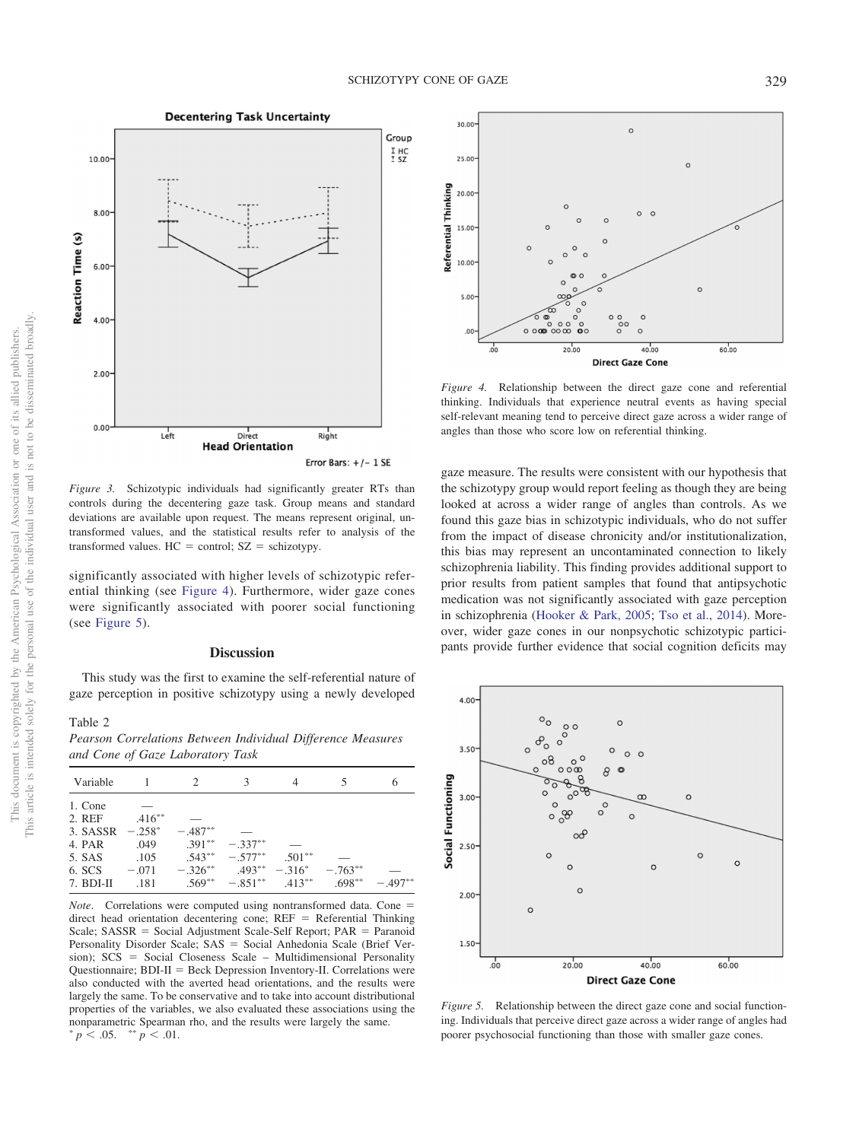**Decentering Task Uncertainty** 



<span id="page-5-0"></span>*Figure 3.* Schizotypic individuals had significantly greater RTs than controls during the decentering gaze task. Group means and standard deviations are available upon request. The means represent original, untransformed values, and the statistical results refer to analysis of the transformed values.  $HC =$  control;  $SZ =$  schizotypy.

significantly associated with higher levels of schizotypic referential thinking (see [Figure 4\)](#page-5-2). Furthermore, wider gaze cones were significantly associated with poorer social functioning (see [Figure 5\)](#page-5-3).

#### **Discussion**

This study was the first to examine the self-referential nature of gaze perception in positive schizotypy using a newly developed

#### <span id="page-5-1"></span>Table 2

*Pearson Correlations Between Individual Difference Measures and Cone of Gaze Laboratory Task*

|           | $\mathcal{P}$ | 3         |                        |            | 6                                                                         |
|-----------|---------------|-----------|------------------------|------------|---------------------------------------------------------------------------|
|           |               |           |                        |            |                                                                           |
| $.416***$ |               |           |                        |            |                                                                           |
| $-.258^*$ | $-.487**$     |           |                        |            |                                                                           |
| .049      |               | $-.337**$ |                        |            |                                                                           |
| .105      |               |           | $.501***$              |            |                                                                           |
| $-.071$   |               |           |                        | $-.763**$  |                                                                           |
| .181      |               |           |                        | $.698***$  | $-.497**$                                                                 |
|           |               |           | $.391***$<br>$.543***$ | $-.577***$ | $-326^{**}$ $493^{**}$ $-316^{*}$<br>$.569^{**}$ $-.851^{**}$ $.413^{**}$ |

*Note*. Correlations were computed using nontransformed data. Cone = direct head orientation decentering cone;  $REF = Referential Thinking$ Scale; SASSR = Social Adjustment Scale-Self Report; PAR = Paranoid Personality Disorder Scale; SAS = Social Anhedonia Scale (Brief Version); SCS = Social Closeness Scale - Multidimensional Personality Questionnaire; BDI-II = Beck Depression Inventory-II. Correlations were also conducted with the averted head orientations, and the results were largely the same. To be conservative and to take into account distributional properties of the variables, we also evaluated these associations using the nonparametric Spearman rho, and the results were largely the same.  $\frac{p}{p}$  < .05.  $\frac{p}{p}$  < .01.



<span id="page-5-2"></span>*Figure 4.* Relationship between the direct gaze cone and referential thinking. Individuals that experience neutral events as having special self-relevant meaning tend to perceive direct gaze across a wider range of angles than those who score low on referential thinking.

gaze measure. The results were consistent with our hypothesis that the schizotypy group would report feeling as though they are being looked at across a wider range of angles than controls. As we found this gaze bias in schizotypic individuals, who do not suffer from the impact of disease chronicity and/or institutionalization, this bias may represent an uncontaminated connection to likely schizophrenia liability. This finding provides additional support to prior results from patient samples that found that antipsychotic medication was not significantly associated with gaze perception in schizophrenia [\(Hooker & Park, 2005;](#page-7-17) [Tso et al., 2014\)](#page-8-7). Moreover, wider gaze cones in our nonpsychotic schizotypic participants provide further evidence that social cognition deficits may



<span id="page-5-3"></span>*Figure 5.* Relationship between the direct gaze cone and social functioning. Individuals that perceive direct gaze across a wider range of angles had poorer psychosocial functioning than those with smaller gaze cones.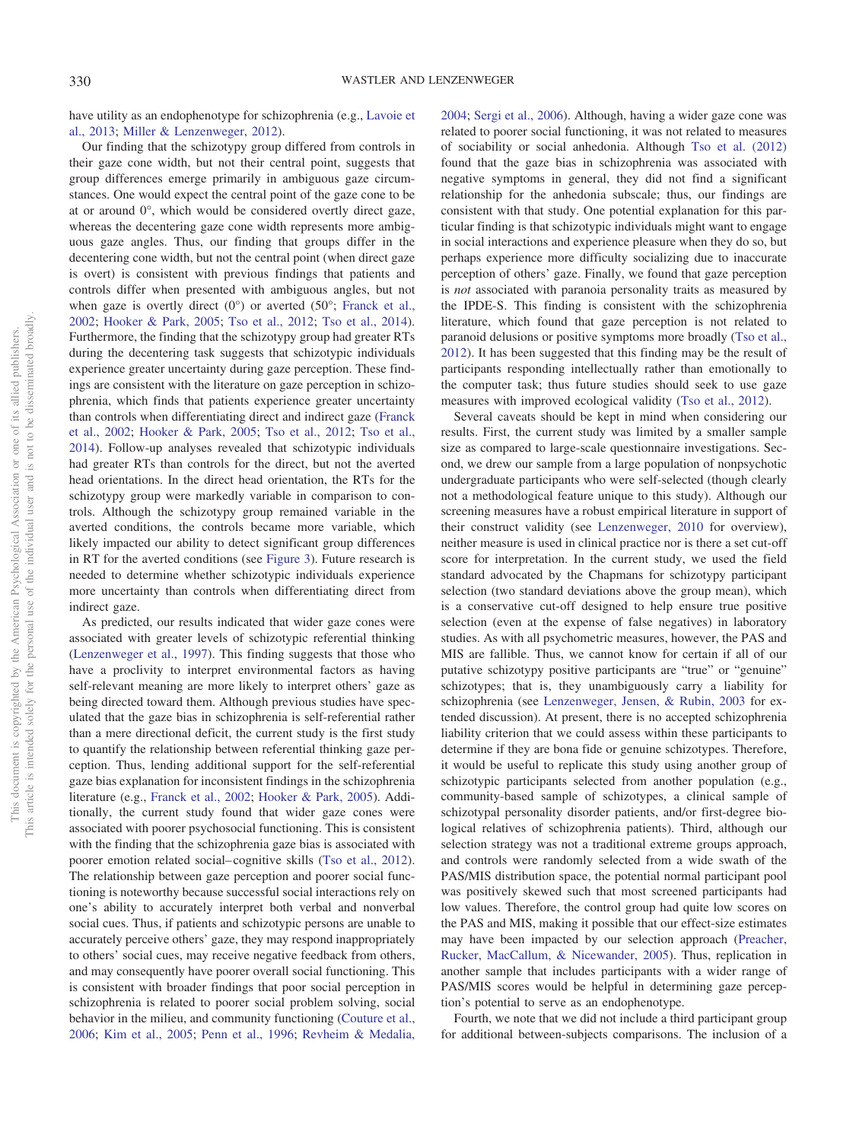have utility as an endophenotype for schizophrenia (e.g., [Lavoie et](#page-7-7) [al., 2013;](#page-7-7) [Miller & Lenzenweger, 2012\)](#page-7-8).

Our finding that the schizotypy group differed from controls in their gaze cone width, but not their central point, suggests that group differences emerge primarily in ambiguous gaze circumstances. One would expect the central point of the gaze cone to be at or around 0°, which would be considered overtly direct gaze, whereas the decentering gaze cone width represents more ambiguous gaze angles. Thus, our finding that groups differ in the decentering cone width, but not the central point (when direct gaze is overt) is consistent with previous findings that patients and controls differ when presented with ambiguous angles, but not when gaze is overtly direct  $(0^{\circ})$  or averted  $(50^{\circ})$ ; [Franck et al.,](#page-7-19) [2002;](#page-7-19) [Hooker & Park, 2005;](#page-7-17) [Tso et al., 2012;](#page-8-8) [Tso et al., 2014\)](#page-8-7). Furthermore, the finding that the schizotypy group had greater RTs during the decentering task suggests that schizotypic individuals experience greater uncertainty during gaze perception. These findings are consistent with the literature on gaze perception in schizophrenia, which finds that patients experience greater uncertainty than controls when differentiating direct and indirect gaze [\(Franck](#page-7-19) [et al., 2002;](#page-7-19) [Hooker & Park, 2005;](#page-7-17) [Tso et al., 2012;](#page-8-8) [Tso et al.,](#page-8-7) [2014\)](#page-8-7). Follow-up analyses revealed that schizotypic individuals had greater RTs than controls for the direct, but not the averted head orientations. In the direct head orientation, the RTs for the schizotypy group were markedly variable in comparison to controls. Although the schizotypy group remained variable in the averted conditions, the controls became more variable, which likely impacted our ability to detect significant group differences in RT for the averted conditions (see [Figure 3\)](#page-5-0). Future research is needed to determine whether schizotypic individuals experience more uncertainty than controls when differentiating direct from indirect gaze.

As predicted, our results indicated that wider gaze cones were associated with greater levels of schizotypic referential thinking [\(Lenzenweger et al., 1997\)](#page-7-21). This finding suggests that those who have a proclivity to interpret environmental factors as having self-relevant meaning are more likely to interpret others' gaze as being directed toward them. Although previous studies have speculated that the gaze bias in schizophrenia is self-referential rather than a mere directional deficit, the current study is the first study to quantify the relationship between referential thinking gaze perception. Thus, lending additional support for the self-referential gaze bias explanation for inconsistent findings in the schizophrenia literature (e.g., [Franck et al., 2002;](#page-7-19) [Hooker & Park, 2005\)](#page-7-17). Additionally, the current study found that wider gaze cones were associated with poorer psychosocial functioning. This is consistent with the finding that the schizophrenia gaze bias is associated with poorer emotion related social– cognitive skills [\(Tso et al., 2012\)](#page-8-8). The relationship between gaze perception and poorer social functioning is noteworthy because successful social interactions rely on one's ability to accurately interpret both verbal and nonverbal social cues. Thus, if patients and schizotypic persons are unable to accurately perceive others' gaze, they may respond inappropriately to others' social cues, may receive negative feedback from others, and may consequently have poorer overall social functioning. This is consistent with broader findings that poor social perception in schizophrenia is related to poorer social problem solving, social behavior in the milieu, and community functioning [\(Couture et al.,](#page-7-4) [2006;](#page-7-4) [Kim et al., 2005;](#page-7-5) [Penn et al., 1996;](#page-8-2) [Revheim & Medalia,](#page-8-3)

[2004;](#page-8-3) [Sergi et al., 2006\)](#page-8-4). Although, having a wider gaze cone was related to poorer social functioning, it was not related to measures of sociability or social anhedonia. Although [Tso et al. \(2012\)](#page-8-8) found that the gaze bias in schizophrenia was associated with negative symptoms in general, they did not find a significant relationship for the anhedonia subscale; thus, our findings are consistent with that study. One potential explanation for this particular finding is that schizotypic individuals might want to engage in social interactions and experience pleasure when they do so, but perhaps experience more difficulty socializing due to inaccurate perception of others' gaze. Finally, we found that gaze perception is *not* associated with paranoia personality traits as measured by the IPDE-S. This finding is consistent with the schizophrenia literature, which found that gaze perception is not related to paranoid delusions or positive symptoms more broadly [\(Tso et al.,](#page-8-8) [2012\)](#page-8-8). It has been suggested that this finding may be the result of participants responding intellectually rather than emotionally to the computer task; thus future studies should seek to use gaze measures with improved ecological validity [\(Tso et al., 2012\)](#page-8-8).

Several caveats should be kept in mind when considering our results. First, the current study was limited by a smaller sample size as compared to large-scale questionnaire investigations. Second, we drew our sample from a large population of nonpsychotic undergraduate participants who were self-selected (though clearly not a methodological feature unique to this study). Although our screening measures have a robust empirical literature in support of their construct validity (see [Lenzenweger, 2010](#page-7-11) for overview), neither measure is used in clinical practice nor is there a set cut-off score for interpretation. In the current study, we used the field standard advocated by the Chapmans for schizotypy participant selection (two standard deviations above the group mean), which is a conservative cut-off designed to help ensure true positive selection (even at the expense of false negatives) in laboratory studies. As with all psychometric measures, however, the PAS and MIS are fallible. Thus, we cannot know for certain if all of our putative schizotypy positive participants are "true" or "genuine" schizotypes; that is, they unambiguously carry a liability for schizophrenia (see [Lenzenweger, Jensen, & Rubin, 2003](#page-7-30) for extended discussion). At present, there is no accepted schizophrenia liability criterion that we could assess within these participants to determine if they are bona fide or genuine schizotypes. Therefore, it would be useful to replicate this study using another group of schizotypic participants selected from another population (e.g., community-based sample of schizotypes, a clinical sample of schizotypal personality disorder patients, and/or first-degree biological relatives of schizophrenia patients). Third, although our selection strategy was not a traditional extreme groups approach, and controls were randomly selected from a wide swath of the PAS/MIS distribution space, the potential normal participant pool was positively skewed such that most screened participants had low values. Therefore, the control group had quite low scores on the PAS and MIS, making it possible that our effect-size estimates may have been impacted by our selection approach [\(Preacher,](#page-8-14) [Rucker, MacCallum, & Nicewander, 2005\)](#page-8-14). Thus, replication in another sample that includes participants with a wider range of PAS/MIS scores would be helpful in determining gaze perception's potential to serve as an endophenotype.

Fourth, we note that we did not include a third participant group for additional between-subjects comparisons. The inclusion of a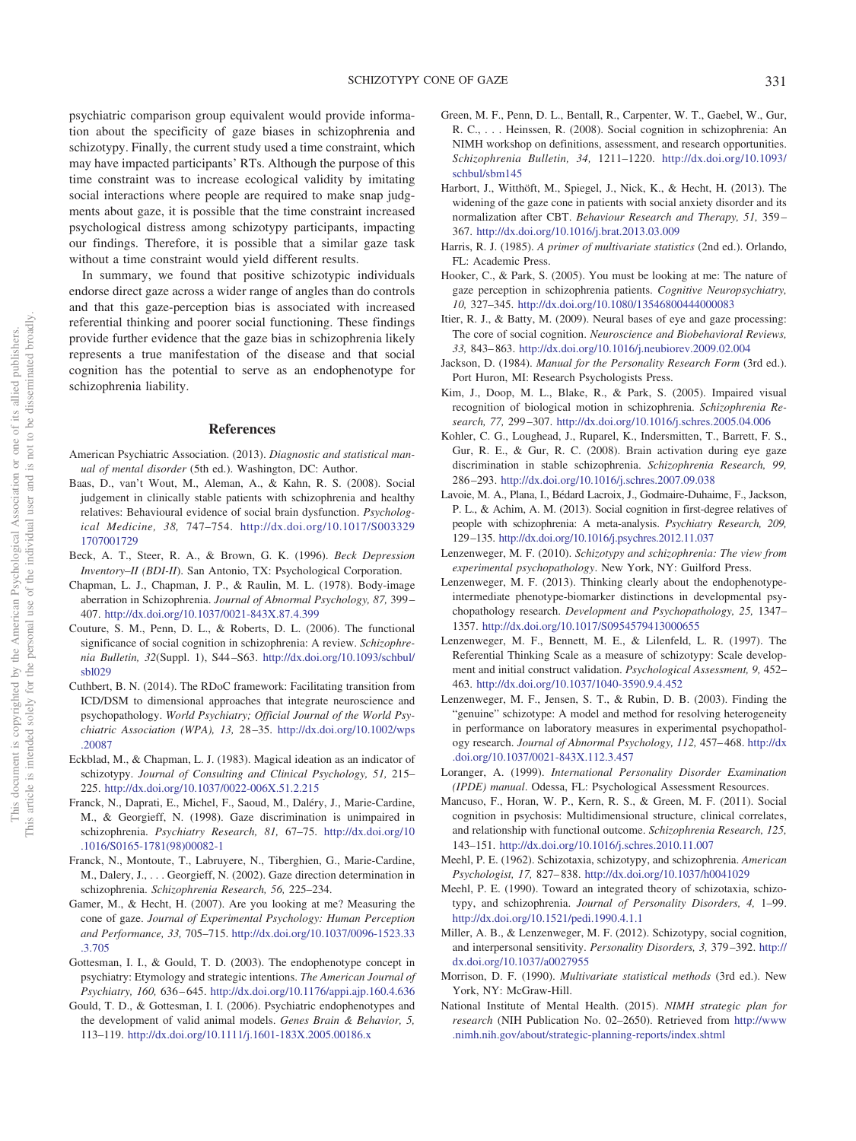psychiatric comparison group equivalent would provide information about the specificity of gaze biases in schizophrenia and schizotypy. Finally, the current study used a time constraint, which may have impacted participants' RTs. Although the purpose of this time constraint was to increase ecological validity by imitating social interactions where people are required to make snap judgments about gaze, it is possible that the time constraint increased psychological distress among schizotypy participants, impacting our findings. Therefore, it is possible that a similar gaze task without a time constraint would yield different results.

In summary, we found that positive schizotypic individuals endorse direct gaze across a wider range of angles than do controls and that this gaze-perception bias is associated with increased referential thinking and poorer social functioning. These findings provide further evidence that the gaze bias in schizophrenia likely represents a true manifestation of the disease and that social cognition has the potential to serve as an endophenotype for schizophrenia liability.

#### **References**

- <span id="page-7-25"></span>American Psychiatric Association. (2013). *Diagnostic and statistical manual of mental disorder* (5th ed.). Washington, DC: Author.
- <span id="page-7-6"></span>Baas, D., van't Wout, M., Aleman, A., & Kahn, R. S. (2008). Social judgement in clinically stable patients with schizophrenia and healthy relatives: Behavioural evidence of social brain dysfunction. *Psychological Medicine, 38,* 747–754. [http://dx.doi.org/10.1017/S003329](http://dx.doi.org/10.1017/S0033291707001729) [1707001729](http://dx.doi.org/10.1017/S0033291707001729)
- <span id="page-7-27"></span>Beck, A. T., Steer, R. A., & Brown, G. K. (1996). *Beck Depression Inventory–II (BDI-II*). San Antonio, TX: Psychological Corporation.
- <span id="page-7-22"></span>Chapman, L. J., Chapman, J. P., & Raulin, M. L. (1978). Body-image aberration in Schizophrenia. *Journal of Abnormal Psychology, 87,* 399 – 407. <http://dx.doi.org/10.1037/0021-843X.87.4.399>
- <span id="page-7-4"></span>Couture, S. M., Penn, D. L., & Roberts, D. L. (2006). The functional significance of social cognition in schizophrenia: A review. *Schizophrenia Bulletin, 32*(Suppl. 1), S44 –S63. [http://dx.doi.org/10.1093/schbul/](http://dx.doi.org/10.1093/schbul/sbl029) [sbl029](http://dx.doi.org/10.1093/schbul/sbl029)
- <span id="page-7-15"></span>Cuthbert, B. N. (2014). The RDoC framework: Facilitating transition from ICD/DSM to dimensional approaches that integrate neuroscience and psychopathology. *World Psychiatry; Official Journal of the World Psychiatric Association (WPA), 13,* 28 –35. [http://dx.doi.org/10.1002/wps](http://dx.doi.org/10.1002/wps.20087) [.20087](http://dx.doi.org/10.1002/wps.20087)
- <span id="page-7-23"></span>Eckblad, M., & Chapman, L. J. (1983). Magical ideation as an indicator of schizotypy. *Journal of Consulting and Clinical Psychology, 51,* 215– 225. <http://dx.doi.org/10.1037/0022-006X.51.2.215>
- <span id="page-7-18"></span>Franck, N., Daprati, E., Michel, F., Saoud, M., Daléry, J., Marie-Cardine, M., & Georgieff, N. (1998). Gaze discrimination is unimpaired in schizophrenia. *Psychiatry Research, 81,* 67–75. [http://dx.doi.org/10](http://dx.doi.org/10.1016/S0165-1781%2898%2900082-1) [.1016/S0165-1781\(98\)00082-1](http://dx.doi.org/10.1016/S0165-1781%2898%2900082-1)
- <span id="page-7-19"></span>Franck, N., Montoute, T., Labruyere, N., Tiberghien, G., Marie-Cardine, M., Dalery, J.,... Georgieff, N. (2002). Gaze direction determination in schizophrenia. *Schizophrenia Research, 56,* 225–234.
- <span id="page-7-1"></span>Gamer, M., & Hecht, H. (2007). Are you looking at me? Measuring the cone of gaze. *Journal of Experimental Psychology: Human Perception and Performance, 33,* 705–715. [http://dx.doi.org/10.1037/0096-1523.33](http://dx.doi.org/10.1037/0096-1523.33.3.705) [.3.705](http://dx.doi.org/10.1037/0096-1523.33.3.705)
- <span id="page-7-9"></span>Gottesman, I. I., & Gould, T. D. (2003). The endophenotype concept in psychiatry: Etymology and strategic intentions. *The American Journal of Psychiatry, 160,* 636 – 645. <http://dx.doi.org/10.1176/appi.ajp.160.4.636>
- <span id="page-7-10"></span>Gould, T. D., & Gottesman, I. I. (2006). Psychiatric endophenotypes and the development of valid animal models. *Genes Brain & Behavior, 5,* 113–119. <http://dx.doi.org/10.1111/j.1601-183X.2005.00186.x>
- <span id="page-7-2"></span>Green, M. F., Penn, D. L., Bentall, R., Carpenter, W. T., Gaebel, W., Gur, R. C., . . . Heinssen, R. (2008). Social cognition in schizophrenia: An NIMH workshop on definitions, assessment, and research opportunities. *Schizophrenia Bulletin, 34,* 1211–1220. [http://dx.doi.org/10.1093/](http://dx.doi.org/10.1093/schbul/sbm145) [schbul/sbm145](http://dx.doi.org/10.1093/schbul/sbm145)
- Harbort, J., Witthöft, M., Spiegel, J., Nick, K., & Hecht, H. (2013). The widening of the gaze cone in patients with social anxiety disorder and its normalization after CBT. *Behaviour Research and Therapy, 51,* 359 – 367. <http://dx.doi.org/10.1016/j.brat.2013.03.009>
- <span id="page-7-28"></span>Harris, R. J. (1985). *A primer of multivariate statistics* (2nd ed.). Orlando, FL: Academic Press.
- <span id="page-7-17"></span>Hooker, C., & Park, S. (2005). You must be looking at me: The nature of gaze perception in schizophrenia patients. *Cognitive Neuropsychiatry, 10,* 327–345. <http://dx.doi.org/10.1080/13546800444000083>
- <span id="page-7-0"></span>Itier, R. J., & Batty, M. (2009). Neural bases of eye and gaze processing: The core of social cognition. *Neuroscience and Biobehavioral Reviews, 33,* 843– 863. <http://dx.doi.org/10.1016/j.neubiorev.2009.02.004>
- <span id="page-7-24"></span>Jackson, D. (1984). *Manual for the Personality Research Form* (3rd ed.). Port Huron, MI: Research Psychologists Press.
- <span id="page-7-5"></span>Kim, J., Doop, M. L., Blake, R., & Park, S. (2005). Impaired visual recognition of biological motion in schizophrenia. *Schizophrenia Research, 77,* 299 –307. <http://dx.doi.org/10.1016/j.schres.2005.04.006>
- <span id="page-7-20"></span>Kohler, C. G., Loughead, J., Ruparel, K., Indersmitten, T., Barrett, F. S., Gur, R. E., & Gur, R. C. (2008). Brain activation during eye gaze discrimination in stable schizophrenia. *Schizophrenia Research, 99,* 286 –293. <http://dx.doi.org/10.1016/j.schres.2007.09.038>
- <span id="page-7-7"></span>Lavoie, M. A., Plana, I., Bédard Lacroix, J., Godmaire-Duhaime, F., Jackson, P. L., & Achim, A. M. (2013). Social cognition in first-degree relatives of people with schizophrenia: A meta-analysis. *Psychiatry Research, 209,* 129 –135. <http://dx.doi.org/10.1016/j.psychres.2012.11.037>
- <span id="page-7-11"></span>Lenzenweger, M. F. (2010). *Schizotypy and schizophrenia: The view from experimental psychopathology*. New York, NY: Guilford Press.
- <span id="page-7-12"></span>Lenzenweger, M. F. (2013). Thinking clearly about the endophenotypeintermediate phenotype-biomarker distinctions in developmental psychopathology research. *Development and Psychopathology, 25,* 1347– 1357. <http://dx.doi.org/10.1017/S0954579413000655>
- <span id="page-7-21"></span>Lenzenweger, M. F., Bennett, M. E., & Lilenfeld, L. R. (1997). The Referential Thinking Scale as a measure of schizotypy: Scale development and initial construct validation. *Psychological Assessment, 9,* 452– 463. <http://dx.doi.org/10.1037/1040-3590.9.4.452>
- <span id="page-7-30"></span>Lenzenweger, M. F., Jensen, S. T., & Rubin, D. B. (2003). Finding the "genuine" schizotype: A model and method for resolving heterogeneity in performance on laboratory measures in experimental psychopathology research. *Journal of Abnormal Psychology, 112,* 457– 468. [http://dx](http://dx.doi.org/10.1037/0021-843X.112.3.457) [.doi.org/10.1037/0021-843X.112.3.457](http://dx.doi.org/10.1037/0021-843X.112.3.457)
- <span id="page-7-26"></span>Loranger, A. (1999). *International Personality Disorder Examination (IPDE) manual*. Odessa, FL: Psychological Assessment Resources.
- <span id="page-7-3"></span>Mancuso, F., Horan, W. P., Kern, R. S., & Green, M. F. (2011). Social cognition in psychosis: Multidimensional structure, clinical correlates, and relationship with functional outcome. *Schizophrenia Research, 125,* 143–151. <http://dx.doi.org/10.1016/j.schres.2010.11.007>
- <span id="page-7-13"></span>Meehl, P. E. (1962). Schizotaxia, schizotypy, and schizophrenia. *American Psychologist, 17,* 827– 838. <http://dx.doi.org/10.1037/h0041029>
- <span id="page-7-14"></span>Meehl, P. E. (1990). Toward an integrated theory of schizotaxia, schizotypy, and schizophrenia. *Journal of Personality Disorders, 4,* 1–99. <http://dx.doi.org/10.1521/pedi.1990.4.1.1>
- <span id="page-7-8"></span>Miller, A. B., & Lenzenweger, M. F. (2012). Schizotypy, social cognition, and interpersonal sensitivity. *Personality Disorders, 3,* 379 –392. [http://](http://dx.doi.org/10.1037/a0027955) [dx.doi.org/10.1037/a0027955](http://dx.doi.org/10.1037/a0027955)
- <span id="page-7-29"></span>Morrison, D. F. (1990). *Multivariate statistical methods* (3rd ed.). New York, NY: McGraw-Hill.
- <span id="page-7-16"></span>National Institute of Mental Health. (2015). *NIMH strategic plan for research* (NIH Publication No. 02–2650). Retrieved from [http://www](http://www.nimh.nih.gov/about/strategic-planning-reports/index.shtml) [.nimh.nih.gov/about/strategic-planning-reports/index.shtml](http://www.nimh.nih.gov/about/strategic-planning-reports/index.shtml)